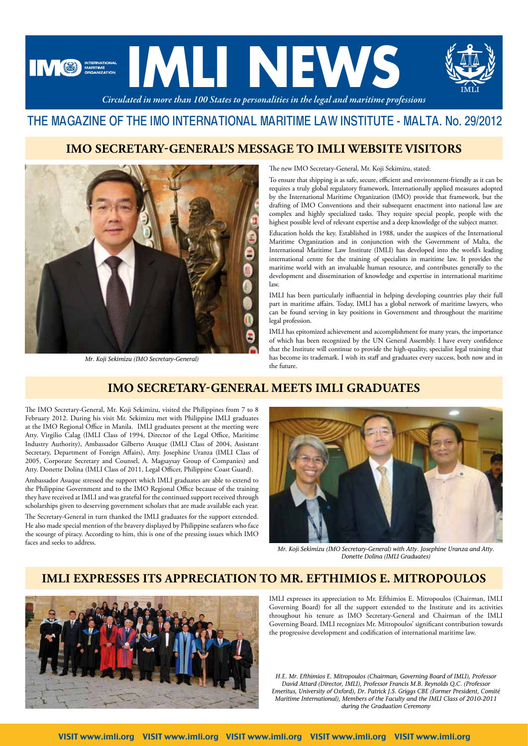

## THE MAGAZINE OF THE IMO INTERNATIONAL MARITIME LAW INSTITUTE - MALTA. No. 29/2012

#### **IMO SECRETARY-GENERAL'S MESSAGE TO IMLI WEBSITE VISITORS**



*Mr. Koji Sekimizu (IMO Secretary-General)* 

The new IMO Secretary-General, Mr. Koji Sekimizu, stated:

To ensure that shipping is as safe, secure, efficient and environment-friendly as it can be requires a truly global regulatory framework. Internationally applied measures adopted by the International Maritime Organization (IMO) provide that framework, but the drafting of IMO Conventions and their subsequent enactment into national law are complex and highly specialized tasks. They require special people, people with the highest possible level of relevant expertise and a deep knowledge of the subject matter.

Education holds the key. Established in 1988, under the auspices of the International Maritime Organization and in conjunction with the Government of Malta, the International Maritime Law Institute (IMLI) has developed into the world's leading international centre for the training of specialists in maritime law. It provides the maritime world with an invaluable human resource, and contributes generally to the development and dissemination of knowledge and expertise in international maritime law.

IMLI has been particularly influential in helping developing countries play their full part in maritime affairs. Today, IMLI has a global network of maritime lawyers, who can be found serving in key positions in Government and throughout the maritime legal profession.

IMLI has epitomized achievement and accomplishment for many years, the importance of which has been recognized by the UN General Assembly. I have every confidence that the Institute will continue to provide the high-quality, specialist legal training that has become its trademark. I wish its staff and graduates every success, both now and in the future.

# **IMO SECRETARY-GENERAL MEETS IMLI GRADUATES**

The IMO Secretary-General, Mr. Koji Sekimizu, visited the Philippines from 7 to 8 February 2012. During his visit Mr. Sekimizu met with Philippine IMLI graduates at the IMO Regional Office in Manila. IMLI graduates present at the meeting were Atty. Virgilio Calag (IMLI Class of 1994, Director of the Legal Office, Maritime Industry Authority), Ambassador Gilberto Asuque (IMLI Class of 2004, Assistant Secretary, Department of Foreign Affairs), Atty. Josephine Uranza (IMLI Class of 2005, Corporate Secretary and Counsel, A. Magsaysay Group of Companies) and Atty. Donette Dolina (IMLI Class of 2011, Legal Officer, Philippine Coast Guard).

Ambassador Asuque stressed the support which IMLI graduates are able to extend to the Philippine Government and to the IMO Regional Office because of the training they have received at IMLI and was grateful for the continued support received through scholarships given to deserving government scholars that are made available each year.

The Secretary-General in turn thanked the IMLI graduates for the support extended. He also made special mention of the bravery displayed by Philippine seafarers who face the scourge of piracy. According to him, this is one of the pressing issues which IMO faces and seeks to address.



*Mr. Koji Sekimizu (IMO Secretary-General) with Atty. Josephine Uranza and Atty. Donette Dolina (IMLI Graduates)*

## **IMLI EXPRESSES ITS APPRECIATION TO MR. EFTHIMIOS E. MITROPOULOS**



IMLI expresses its appreciation to Mr. Efthimios E. Mitropoulos (Chairman, IMLI Governing Board) for all the support extended to the Institute and its activities throughout his tenure as IMO Secretary-General and Chairman of the IMLI Governing Board. IMLI recognizes Mr. Mitropoulos' significant contribution towards the progressive development and codification of international maritime law.

*H.E. Mr. Efthimios E. Mitropoulos (Chairman, Governing Board of IMLI), Professor David Attard (Director, IMLI), Professor Francis M.B. Reynolds Q.C. (Professor Emeritus, University of Oxford), Dr. Patrick J.S. Griggs CBE (Former President, Comité Maritime International), Members of the Faculty and the IMLI Class of 2010-2011 during the Graduation Ceremony*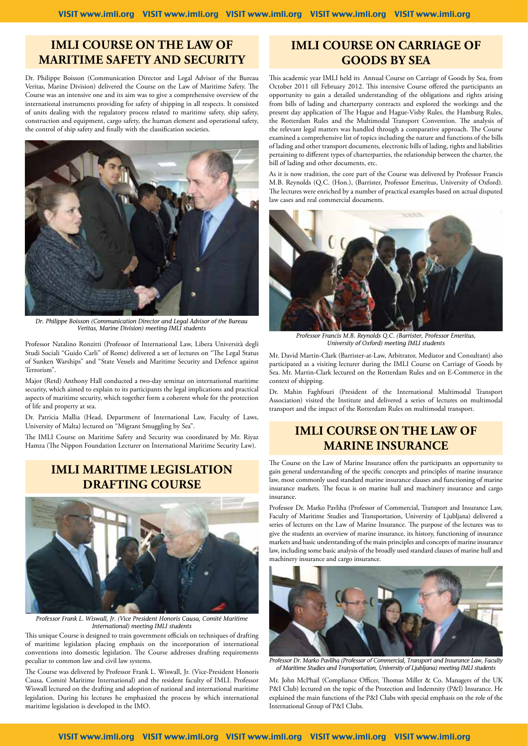#### **IMLI COURSE ON THE LAW OF MARITIME SAFETY AND SECURITY**

Dr. Philippe Boisson (Communication Director and Legal Advisor of the Bureau Veritas, Marine Division) delivered the Course on the Law of Maritime Safety. The Course was an intensive one and its aim was to give a comprehensive overview of the international instruments providing for safety of shipping in all respects. It consisted of units dealing with the regulatory process related to maritime safety, ship safety, construction and equipment, cargo safety, the human element and operational safety, the control of ship safety and finally with the classification societies.



*Dr. Philippe Boisson (Communication Director and Legal Advisor of the Bureau Veritas, Marine Division) meeting IMLI students*

Professor Natalino Ronzitti (Professor of International Law, Libera Università degli Studi Sociali "Guido Carli" of Rome) delivered a set of lectures on "The Legal Status of Sunken Warships" and "State Vessels and Maritime Security and Defence against Terrorism".

Major (Retd) Anthony Hall conducted a two-day seminar on international maritime security, which aimed to explain to its participants the legal implications and practical aspects of maritime security, which together form a coherent whole for the protection of life and property at sea.

Dr. Patricia Mallia (Head, Department of International Law, Faculty of Laws, University of Malta) lectured on "Migrant Smuggling by Sea".

The IMLI Course on Maritime Safety and Security was coordinated by Mr. Riyaz Hamza (The Nippon Foundation Lecturer on International Maritime Security Law).

## **IMLI MARITIME LEGISLATION DRAFTING COURSE**



*Professor Frank L. Wiswall, Jr. (Vice President Honoris Causa, Comité Maritime International) meeting IMLI students* 

This unique Course is designed to train government officials on techniques of drafting of maritime legislation placing emphasis on the incorporation of international conventions into domestic legislation. The Course addresses drafting requirements peculiar to common law and civil law systems.

The Course was delivered by Professor Frank L. Wiswall, Jr. (Vice-President Honoris Causa, Comité Maritime International) and the resident faculty of IMLI. Professor Wiswall lectured on the drafting and adoption of national and international maritime legislation. During his lectures he emphasized the process by which international maritime legislation is developed in the IMO.

#### **IMLI Course on Carriage of Goods by sea**

This academic year IMLI held its Annual Course on Carriage of Goods by Sea, from October 2011 till February 2012. This intensive Course offered the participants an opportunity to gain a detailed understanding of the obligations and rights arising from bills of lading and charterparty contracts and explored the workings and the present day application of The Hague and Hague-Visby Rules, the Hamburg Rules, the Rotterdam Rules and the Multimodal Transport Convention. The analysis of the relevant legal matters was handled through a comparative approach. The Course examined a comprehensive list of topics including the nature and functions of the bills of lading and other transport documents, electronic bills of lading, rights and liabilities pertaining to different types of charterparties, the relationship between the charter, the bill of lading and other documents, etc.

As it is now tradition, the core part of the Course was delivered by Professor Francis M.B. Reynolds (Q.C. (Hon.), (Barrister, Professor Emeritus, University of Oxford). The lectures were enriched by a number of practical examples based on actual disputed law cases and real commercial documents.



*Professor Francis M.B. Reynolds Q.C. (Barrister, Professor Emeritus, University of Oxford) meeting IMLI students*

Mr. David Martin-Clark (Barrister-at-Law, Arbitrator, Mediator and Consultant) also participated as a visiting lecturer during the IMLI Course on Carriage of Goods by Sea. Mr. Martin-Clark lectured on the Rotterdam Rules and on E-Commerce in the context of shipping.

Dr. Mahin Faghfouri (President of the International Multimodal Transport Association) visited the Institute and delivered a series of lectures on multimodal transport and the impact of the Rotterdam Rules on multimodal transport.

### **IMLI COURSE ON THE LAW OF MARINE INSURANCE**

The Course on the Law of Marine Insurance offers the participants an opportunity to gain general understanding of the specific concepts and principles of marine insurance law, most commonly used standard marine insurance clauses and functioning of marine insurance markets. The focus is on marine hull and machinery insurance and cargo insurance.

Professor Dr. Marko Pavliha (Professor of Commercial, Transport and Insurance Law, Faculty of Maritime Studies and Transportation, University of Ljubljana) delivered a series of lectures on the Law of Marine Insurance. The purpose of the lectures was to give the students an overview of marine insurance, its history, functioning of insurance markets and basic understanding of the main principles and concepts of marine insurance law, including some basic analysis of the broadly used standard clauses of marine hull and machinery insurance and cargo insurance.



*Professor Dr. Marko Pavliha (Professor of Commercial, Transport and Insurance Law, Faculty of Maritime Studies and Transportation, University of Ljubljana) meeting IMLI students*

Mr. John McPhail (Compliance Officer, Thomas Miller & Co. Managers of the UK P&I Club) lectured on the topic of the Protection and Indemnity (P&I) Insurance. He explained the main functions of the P&I Clubs with special emphasis on the role of the International Group of P&I Clubs.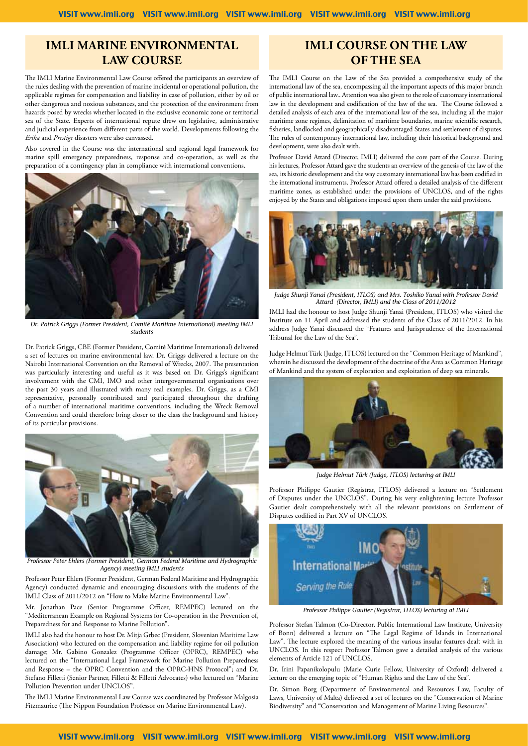#### **IMLI MARINE ENVIRONMENTAL LAW COURSE**

The IMLI Marine Environmental Law Course offered the participants an overview of the rules dealing with the prevention of marine incidental or operational pollution, the applicable regimes for compensation and liability in case of pollution, either by oil or other dangerous and noxious substances, and the protection of the environment from hazards posed by wrecks whether located in the exclusive economic zone or territorial sea of the State. Experts of international repute drew on legislative, administrative and judicial experience from different parts of the world. Developments following the *Erika* and *Prestige* disasters were also canvassed.

Also covered in the Course was the international and regional legal framework for marine spill emergency preparedness, response and co-operation, as well as the preparation of a contingency plan in compliance with international conventions.



*Dr. Patrick Griggs (Former President, Comité Maritime International) meeting IMLI students*

Dr. Patrick Griggs, CBE (Former President, Comité Maritime International) delivered a set of lectures on marine environmental law. Dr. Griggs delivered a lecture on the Nairobi International Convention on the Removal of Wrecks, 2007. The presentation was particularly interesting and useful as it was based on Dr. Griggs's significant involvement with the CMI, IMO and other intergovernmental organisations over the past 30 years and illustrated with many real examples. Dr. Griggs, as a CMI representative, personally contributed and participated throughout the drafting of a number of international maritime conventions, including the Wreck Removal Convention and could therefore bring closer to the class the background and history of its particular provisions.



*Professor Peter Ehlers (Former President, German Federal Maritime and Hydrographic Agency) meeting IMLI students*

Professor Peter Ehlers (Former President, German Federal Maritime and Hydrographic Agency) conducted dynamic and encouraging discussions with the students of the IMLI Class of 2011/2012 on "How to Make Marine Environmental Law".

Mr. Jonathan Pace (Senior Programme Officer, REMPEC) lectured on the "Mediterranean Example on Regional Systems for Co-operation in the Prevention of, Preparedness for and Response to Marine Pollution".

IMLI also had the honour to host Dr. Mitja Grbec (President, Slovenian Maritime Law Association) who lectured on the compensation and liability regime for oil pollution damage; Mr. Gabino Gonzalez (Programme Officer (OPRC), REMPEC) who lectured on the "International Legal Framework for Marine Pollution Preparedness and Response – the OPRC Convention and the OPRC-HNS Protocol"; and Dr. Stefano Filletti (Senior Partner, Filletti & Filletti Advocates) who lectured on "Marine Pollution Prevention under UNCLOS".

The IMLI Marine Environmental Law Course was coordinated by Professor Malgosia Fitzmaurice (The Nippon Foundation Professor on Marine Environmental Law).

#### **IMLI COURSE ON THE LAW OF THE SEA**

The IMLI Course on the Law of the Sea provided a comprehensive study of the international law of the sea, encompassing all the important aspects of this major branch of public international law.. Attention was also given to the role of customary international law in the development and codification of the law of the sea. The Course followed a detailed analysis of each area of the international law of the sea, including all the major maritime zone regimes, delimitation of maritime boundaries, marine scientific research, fisheries, landlocked and geographically disadvantaged States and settlement of disputes. The rules of contemporary international law, including their historical background and development, were also dealt with.

Professor David Attard (Director, IMLI) delivered the core part of the Course. During his lectures, Professor Attard gave the students an overview of the genesis of the law of the sea, its historic development and the way customary international law has been codified in the international instruments. Professor Attard offered a detailed analysis of the different maritime zones, as established under the provisions of UNCLOS, and of the rights enjoyed by the States and obligations imposed upon them under the said provisions.



*Judge Shunji Yanai (President, ITLOS) and Mrs. Toshiko Yanai with Professor David Attard (Director, IMLI) and the Class of 2011/2012*

IMLI had the honour to host Judge Shunji Yanai (President, ITLOS) who visited the Institute on 11 April and addressed the students of the Class of 2011/2012. In his address Judge Yanai discussed the "Features and Jurisprudence of the International Tribunal for the Law of the Sea".

Judge Helmut Türk (Judge, ITLOS) lectured on the "Common Heritage of Mankind", wherein he discussed the development of the doctrine of the Area as Common Heritage of Mankind and the system of exploration and exploitation of deep sea minerals.



*Judge Helmut Türk (Judge, ITLOS) lecturing at IMLI*

Professor Philippe Gautier (Registrar, ITLOS) delivered a lecture on "Settlement of Disputes under the UNCLOS". During his very enlightening lecture Professor Gautier dealt comprehensively with all the relevant provisions on Settlement of Disputes codified in Part XV of UNCLOS.



*Professor Philippe Gautier (Registrar, ITLOS) lecturing at IMLI*

Professor Stefan Talmon (Co-Director, Public International Law Institute, University of Bonn) delivered a lecture on "The Legal Regime of Islands in International Law". The lecture explored the meaning of the various insular features dealt with in UNCLOS. In this respect Professor Talmon gave a detailed analysis of the various elements of Article 121 of UNCLOS.

Dr. Irini Papanikolopulu (Marie Curie Fellow, University of Oxford) delivered a lecture on the emerging topic of "Human Rights and the Law of the Sea".

Dr. Simon Borg (Department of Environmental and Resources Law, Faculty of Laws, University of Malta) delivered a set of lectures on the "Conservation of Marine Biodiversity" and "Conservation and Management of Marine Living Resources".